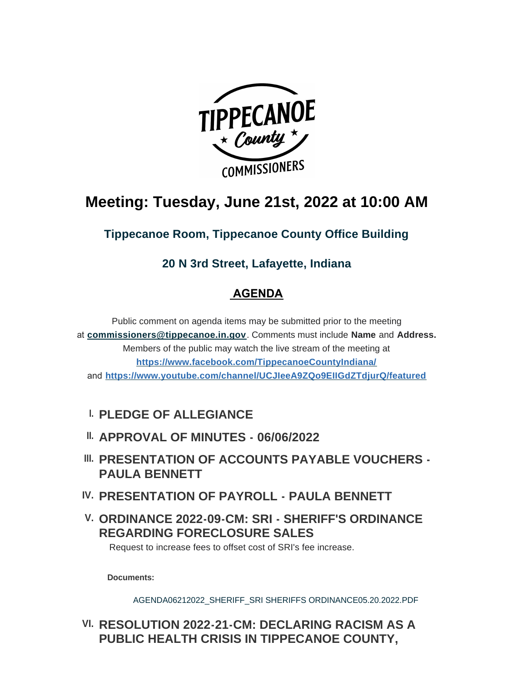

# **Meeting: Tuesday, June 21st, 2022 at 10:00 AM**

**Tippecanoe Room, Tippecanoe County Office Building**

## **20 N 3rd Street, Lafayette, Indiana**

## **AGENDA**

Public comment on agenda items may be submitted prior to the meeting at **[commissioners@tippecanoe.in.gov](mailto:commissioners@tippecanoe.in.gov)**. Comments must include **Name** and **Address.** [Members of the public may watch the live stream of the meeting](https://www.facebook.com/TippecanoeCountyIndiana/) at **https://www.facebook.com/TippecanoeCountyIndiana/** and **<https://www.youtube.com/channel/UCJIeeA9ZQo9EIIGdZTdjurQ/featured>**

## **PLEDGE OF ALLEGIANCE I.**

- **APPROVAL OF MINUTES 06/06/2022 II.**
- **III. PRESENTATION OF ACCOUNTS PAYABLE VOUCHERS -PAULA BENNETT**
- **PRESENTATION OF PAYROLL PAULA BENNETT IV.**
- **ORDINANCE 2022-09-CM: SRI SHERIFF'S ORDINANCE V. REGARDING FORECLOSURE SALES**

Request to increase fees to offset cost of SRI's fee increase.

**Documents:**

[AGENDA06212022\\_SHERIFF\\_SRI SHERIFFS ORDINANCE05.20.2022.PDF](http://www.tippecanoe.in.gov/AgendaCenter/ViewFile/Item/12856?fileID=25722)

## **RESOLUTION 2022-21-CM: DECLARING RACISM AS A VI. PUBLIC HEALTH CRISIS IN TIPPECANOE COUNTY,**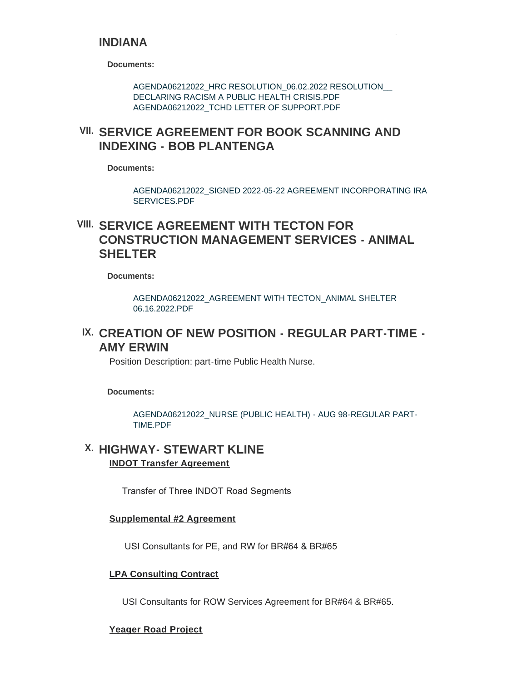#### **INDIANA**

**Documents:**

[AGENDA06212022\\_HRC RESOLUTION\\_06.02.2022 RESOLUTION\\_\\_](http://www.tippecanoe.in.gov/AgendaCenter/ViewFile/Item/12834?fileID=25714)  DECLARING RACISM A PUBLIC HEALTH CRISIS.PDF [AGENDA06212022\\_TCHD LETTER OF SUPPORT.PDF](http://www.tippecanoe.in.gov/AgendaCenter/ViewFile/Item/12834?fileID=25715)

### **SERVICE AGREEMENT FOR BOOK SCANNING AND VII. INDEXING - BOB PLANTENGA**

**Documents:**

[AGENDA06212022\\_SIGNED 2022-05-22 AGREEMENT INCORPORATING IRA](http://www.tippecanoe.in.gov/AgendaCenter/ViewFile/Item/12823?fileID=25716)  SERVICES PDF

### **SERVICE AGREEMENT WITH TECTON FOR VIII. CONSTRUCTION MANAGEMENT SERVICES - ANIMAL SHELTER**

**Documents:**

[AGENDA06212022\\_AGREEMENT WITH TECTON\\_ANIMAL SHELTER](http://www.tippecanoe.in.gov/AgendaCenter/ViewFile/Item/12857?fileID=25735)  06.16.2022.PDF

### **CREATION OF NEW POSITION - REGULAR PART-TIME - IX. AMY ERWIN**

Position Description: part-time Public Health Nurse.

**Documents:**

[AGENDA06212022\\_NURSE \(PUBLIC HEALTH\) - AUG 98-REGULAR PART-](http://www.tippecanoe.in.gov/AgendaCenter/ViewFile/Item/12858?fileID=25723)TIME.PDF

#### **HIGHWAY- STEWART KLINE X. INDOT Transfer Agreement**

Transfer of Three INDOT Road Segments

#### **Supplemental #2 Agreement**

USI Consultants for PE, and RW for BR#64 & BR#65

#### **LPA Consulting Contract**

USI Consultants for ROW Services Agreement for BR#64 & BR#65.

#### **Yeager Road Project**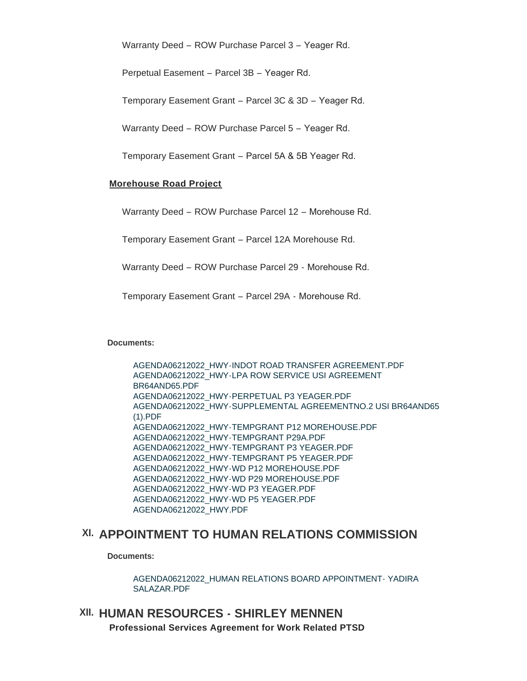Warranty Deed – ROW Purchase Parcel 3 – Yeager Rd.

Perpetual Easement – Parcel 3B – Yeager Rd.

Temporary Easement Grant – Parcel 3C & 3D – Yeager Rd.

Warranty Deed – ROW Purchase Parcel 5 – Yeager Rd.

Temporary Easement Grant – Parcel 5A & 5B Yeager Rd.

#### **Morehouse Road Project**

Warranty Deed – ROW Purchase Parcel 12 – Morehouse Rd.

Temporary Easement Grant – Parcel 12A Morehouse Rd.

Warranty Deed – ROW Purchase Parcel 29 - Morehouse Rd.

Temporary Easement Grant – Parcel 29A - Morehouse Rd.

**Documents:**

[AGENDA06212022\\_HWY-INDOT ROAD TRANSFER AGREEMENT.PDF](http://www.tippecanoe.in.gov/AgendaCenter/ViewFile/Item/12859?fileID=25736) [AGENDA06212022\\_HWY-LPA ROW SERVICE USI AGREEMENT](http://www.tippecanoe.in.gov/AgendaCenter/ViewFile/Item/12859?fileID=25737)  BR64AND65.PDF [AGENDA06212022\\_HWY-PERPETUAL P3 YEAGER.PDF](http://www.tippecanoe.in.gov/AgendaCenter/ViewFile/Item/12859?fileID=25738) [AGENDA06212022\\_HWY-SUPPLEMENTAL AGREEMENTNO.2 USI BR64AND65](http://www.tippecanoe.in.gov/AgendaCenter/ViewFile/Item/12859?fileID=25739)  (1).PDF [AGENDA06212022\\_HWY-TEMPGRANT P12 MOREHOUSE.PDF](http://www.tippecanoe.in.gov/AgendaCenter/ViewFile/Item/12859?fileID=25740) [AGENDA06212022\\_HWY-TEMPGRANT P29A.PDF](http://www.tippecanoe.in.gov/AgendaCenter/ViewFile/Item/12859?fileID=25741) [AGENDA06212022\\_HWY-TEMPGRANT P3 YEAGER.PDF](http://www.tippecanoe.in.gov/AgendaCenter/ViewFile/Item/12859?fileID=25742) [AGENDA06212022\\_HWY-TEMPGRANT P5 YEAGER.PDF](http://www.tippecanoe.in.gov/AgendaCenter/ViewFile/Item/12859?fileID=25743) [AGENDA06212022\\_HWY-WD P12 MOREHOUSE.PDF](http://www.tippecanoe.in.gov/AgendaCenter/ViewFile/Item/12859?fileID=25744) [AGENDA06212022\\_HWY-WD P29 MOREHOUSE.PDF](http://www.tippecanoe.in.gov/AgendaCenter/ViewFile/Item/12859?fileID=25745) [AGENDA06212022\\_HWY-WD P3 YEAGER.PDF](http://www.tippecanoe.in.gov/AgendaCenter/ViewFile/Item/12859?fileID=25746) [AGENDA06212022\\_HWY-WD P5 YEAGER.PDF](http://www.tippecanoe.in.gov/AgendaCenter/ViewFile/Item/12859?fileID=25747) [AGENDA06212022\\_HWY.PDF](http://www.tippecanoe.in.gov/AgendaCenter/ViewFile/Item/12859?fileID=25748)

### **APPOINTMENT TO HUMAN RELATIONS COMMISSION XI.**

**Documents:**

[AGENDA06212022\\_HUMAN RELATIONS BOARD APPOINTMENT- YADIRA](http://www.tippecanoe.in.gov/AgendaCenter/ViewFile/Item/12833?fileID=25712)  SALAZAR.PDF

### **HUMAN RESOURCES - SHIRLEY MENNEN XII. Professional Services Agreement for Work Related PTSD**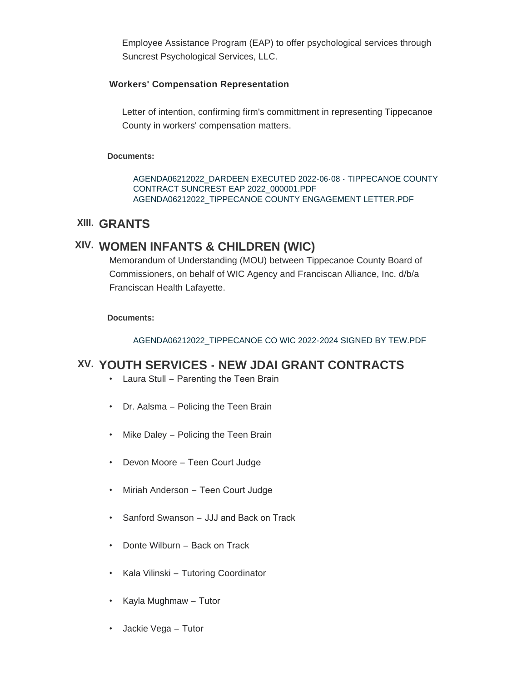Employee Assistance Program (EAP) to offer psychological services through Suncrest Psychological Services, LLC.

#### **Workers' Compensation Representation**

Letter of intention, confirming firm's committment in representing Tippecanoe County in workers' compensation matters.

#### **Documents:**

[AGENDA06212022\\_DARDEEN EXECUTED 2022-06-08 - TIPPECANOE COUNTY](http://www.tippecanoe.in.gov/AgendaCenter/ViewFile/Item/12837?fileID=25710)  CONTRACT SUNCREST EAP 2022\_000001.PDF [AGENDA06212022\\_TIPPECANOE COUNTY ENGAGEMENT LETTER.PDF](http://www.tippecanoe.in.gov/AgendaCenter/ViewFile/Item/12837?fileID=25711)

### **GRANTS XIII.**

### **WOMEN INFANTS & CHILDREN (WIC) XIV.**

Memorandum of Understanding (MOU) between Tippecanoe County Board of Commissioners, on behalf of WIC Agency and Franciscan Alliance, Inc. d/b/a Franciscan Health Lafayette.

#### **Documents:**

[AGENDA06212022\\_TIPPECANOE CO WIC 2022-2024 SIGNED BY TEW.PDF](http://www.tippecanoe.in.gov/AgendaCenter/ViewFile/Item/12860?fileID=25729)

### **YOUTH SERVICES - NEW JDAI GRANT CONTRACTS XV.**

- Laura Stull Parenting the Teen Brain
- Dr. Aalsma Policing the Teen Brain
- Mike Daley Policing the Teen Brain
- Devon Moore Teen Court Judge
- Miriah Anderson Teen Court Judge
- Sanford Swanson JJJ and Back on Track
- Donte Wilburn Back on Track
- Kala Vilinski Tutoring Coordinator
- Kayla Mughmaw Tutor
- Jackie Vega Tutor